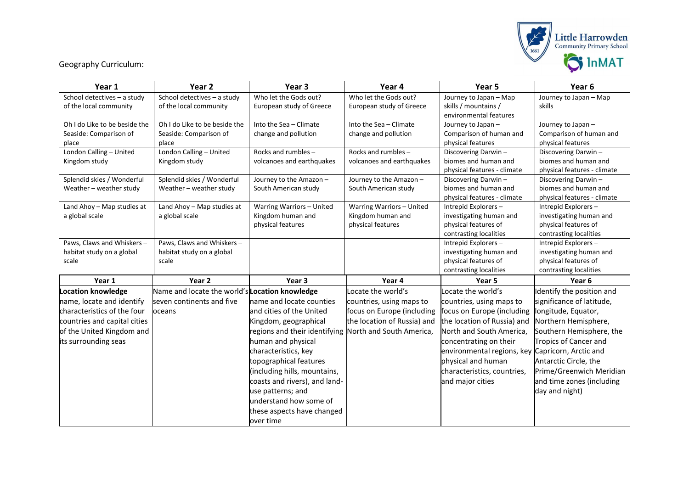

Geography Curriculum:

| Year 1                                   | Year <sub>2</sub>                              | Year <sub>3</sub>                                | Year 4                      | Year 5                                           | Year <sub>6</sub>                           |
|------------------------------------------|------------------------------------------------|--------------------------------------------------|-----------------------------|--------------------------------------------------|---------------------------------------------|
| School detectives - a study              | School detectives - a study                    | Who let the Gods out?                            | Who let the Gods out?       | Journey to Japan - Map                           | Journey to Japan - Map                      |
| of the local community                   | of the local community                         | European study of Greece                         | European study of Greece    | skills / mountains /                             | skills                                      |
|                                          |                                                |                                                  |                             | environmental features                           |                                             |
| Oh I do Like to be beside the            | Oh I do Like to be beside the                  | Into the Sea - Climate                           | Into the Sea - Climate      | Journey to Japan -                               | Journey to Japan -                          |
| Seaside: Comparison of                   | Seaside: Comparison of                         | change and pollution                             | change and pollution        | Comparison of human and                          | Comparison of human and                     |
| place                                    | place                                          |                                                  | Rocks and rumbles -         | physical features                                | physical features                           |
| London Calling - United<br>Kingdom study | London Calling - United<br>Kingdom study       | Rocks and rumbles -<br>volcanoes and earthquakes | volcanoes and earthquakes   | Discovering Darwin-<br>biomes and human and      | Discovering Darwin-<br>biomes and human and |
|                                          |                                                |                                                  |                             | physical features - climate                      | physical features - climate                 |
| Splendid skies / Wonderful               | Splendid skies / Wonderful                     | Journey to the Amazon -                          | Journey to the Amazon -     | Discovering Darwin-                              | Discovering Darwin-                         |
| Weather - weather study                  | Weather - weather study                        | South American study                             | South American study        | biomes and human and                             | biomes and human and                        |
|                                          |                                                |                                                  |                             | physical features - climate                      | physical features - climate                 |
| Land Ahoy - Map studies at               | Land Ahoy - Map studies at                     | Warring Warriors - United                        | Warring Warriors - United   | Intrepid Explorers-                              | Intrepid Explorers-                         |
| a global scale                           | a global scale                                 | Kingdom human and                                | Kingdom human and           | investigating human and                          | investigating human and                     |
|                                          |                                                | physical features                                | physical features           | physical features of                             | physical features of                        |
|                                          |                                                |                                                  |                             | contrasting localities                           | contrasting localities                      |
| Paws, Claws and Whiskers -               | Paws, Claws and Whiskers -                     |                                                  |                             | Intrepid Explorers-                              | Intrepid Explorers-                         |
| habitat study on a global                | habitat study on a global                      |                                                  |                             | investigating human and                          | investigating human and                     |
| scale                                    | scale                                          |                                                  |                             | physical features of                             | physical features of                        |
|                                          |                                                |                                                  |                             | contrasting localities                           | contrasting localities                      |
| Year 1                                   | Year 2                                         | Year 3                                           | Year 4                      | Year 5                                           | Year <sub>6</sub>                           |
| <b>Location knowledge</b>                | Name and locate the world's Location knowledge |                                                  | Locate the world's          | Locate the world's                               | Identify the position and                   |
| name, locate and identify                | seven continents and five                      | name and locate counties                         | countries, using maps to    | countries, using maps to                         | significance of latitude,                   |
| characteristics of the four              | oceans                                         | and cities of the United                         | focus on Europe (including  | focus on Europe (including                       | longitude, Equator,                         |
| countries and capital cities             |                                                | Kingdom, geographical                            | the location of Russia) and | the location of Russia) and                      | Northern Hemisphere,                        |
| of the United Kingdom and                |                                                | regions and their identifying                    | North and South America,    | North and South America.                         | Southern Hemisphere, the                    |
| its surrounding seas                     |                                                | human and physical                               |                             | concentrating on their                           | Tropics of Cancer and                       |
|                                          |                                                | characteristics, key                             |                             | environmental regions, key Capricorn, Arctic and |                                             |
|                                          |                                                | topographical features                           |                             | physical and human                               | Antarctic Circle, the                       |
|                                          |                                                | (including hills, mountains,                     |                             | characteristics, countries,                      | Prime/Greenwich Meridian                    |
|                                          |                                                | coasts and rivers), and land-                    |                             | and major cities                                 | and time zones (including                   |
|                                          |                                                | use patterns; and                                |                             |                                                  | day and night)                              |
|                                          |                                                | understand how some of                           |                             |                                                  |                                             |
|                                          |                                                | these aspects have changed                       |                             |                                                  |                                             |
|                                          |                                                | over time                                        |                             |                                                  |                                             |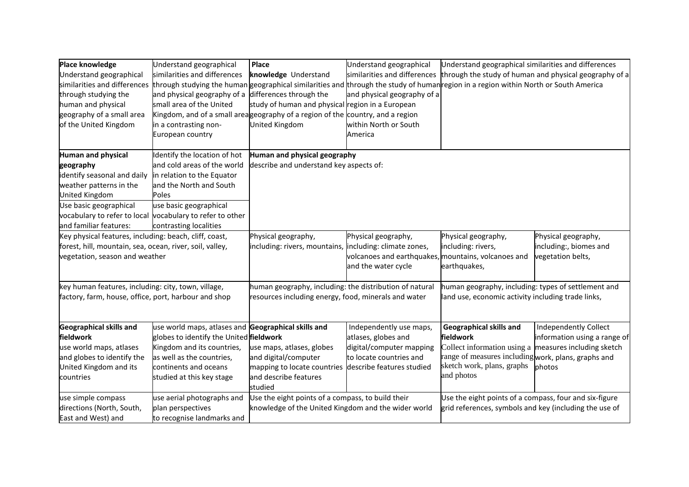| Place knowledge                                          | Understand geographical                                   | <b>Place</b>                                                                                                                         | Understand geographical                                                    | Understand geographical similarities and differences   |                                                        |
|----------------------------------------------------------|-----------------------------------------------------------|--------------------------------------------------------------------------------------------------------------------------------------|----------------------------------------------------------------------------|--------------------------------------------------------|--------------------------------------------------------|
| Understand geographical                                  | similarities and differences                              | knowledge Understand                                                                                                                 | similarities and differences                                               |                                                        | through the study of human and physical geography of a |
| similarities and differences                             |                                                           | through studying the human geographical similarities and through the study of human region in a region within North or South America |                                                                            |                                                        |                                                        |
| through studying the                                     | and physical geography of a                               | differences through the                                                                                                              | and physical geography of a                                                |                                                        |                                                        |
| human and physical                                       | small area of the United                                  | study of human and physical region in a European                                                                                     |                                                                            |                                                        |                                                        |
| geography of a small area                                |                                                           | Kingdom, and of a small area geography of a region of the country, and a region                                                      |                                                                            |                                                        |                                                        |
| of the United Kingdom                                    | in a contrasting non-                                     | <b>United Kingdom</b>                                                                                                                | within North or South                                                      |                                                        |                                                        |
|                                                          | European country                                          |                                                                                                                                      | America                                                                    |                                                        |                                                        |
| Human and physical                                       | Identify the location of hot                              | Human and physical geography                                                                                                         |                                                                            |                                                        |                                                        |
| geography                                                | and cold areas of the world                               | describe and understand key aspects of:                                                                                              |                                                                            |                                                        |                                                        |
| identify seasonal and daily                              | in relation to the Equator                                |                                                                                                                                      |                                                                            |                                                        |                                                        |
| weather patterns in the                                  | and the North and South                                   |                                                                                                                                      |                                                                            |                                                        |                                                        |
| United Kingdom                                           | Poles                                                     |                                                                                                                                      |                                                                            |                                                        |                                                        |
| Use basic geographical                                   | use basic geographical                                    |                                                                                                                                      |                                                                            |                                                        |                                                        |
|                                                          | vocabulary to refer to local vocabulary to refer to other |                                                                                                                                      |                                                                            |                                                        |                                                        |
| and familiar features:                                   | contrasting localities                                    |                                                                                                                                      |                                                                            |                                                        |                                                        |
| Key physical features, including: beach, cliff, coast,   |                                                           | Physical geography,                                                                                                                  | Physical geography,                                                        | Physical geography,                                    | Physical geography,                                    |
| forest, hill, mountain, sea, ocean, river, soil, valley, |                                                           | including: rivers, mountains,                                                                                                        | including: climate zones,                                                  | including: rivers,                                     | including:, biomes and                                 |
| vegetation, season and weather                           |                                                           |                                                                                                                                      | volcanoes and earthquakes, mountains, volcanoes and<br>and the water cycle | earthquakes,                                           | vegetation belts,                                      |
| key human features, including: city, town, village,      |                                                           | human geography, including: the distribution of natural                                                                              |                                                                            | human geography, including: types of settlement and    |                                                        |
| factory, farm, house, office, port, harbour and shop     |                                                           | resources including energy, food, minerals and water                                                                                 |                                                                            | land use, economic activity including trade links,     |                                                        |
|                                                          |                                                           |                                                                                                                                      |                                                                            |                                                        |                                                        |
| <b>Geographical skills and</b>                           | use world maps, atlases and Geographical skills and       |                                                                                                                                      | Independently use maps,                                                    | Geographical skills and                                | Independently Collect                                  |
| fieldwork                                                | globes to identify the United fieldwork                   |                                                                                                                                      | atlases, globes and                                                        | fieldwork                                              | information using a range of                           |
| use world maps, atlases                                  | Kingdom and its countries,                                | use maps, atlases, globes                                                                                                            | digital/computer mapping                                                   | Collect information using a                            | measures including sketch                              |
| and globes to identify the                               | as well as the countries,                                 | and digital/computer                                                                                                                 | to locate countries and                                                    | range of measures including work, plans, graphs and    |                                                        |
| United Kingdom and its                                   | continents and oceans                                     | mapping to locate countries                                                                                                          | describe features studied                                                  | sketch work, plans, graphs                             | photos                                                 |
| countries                                                | studied at this key stage                                 | and describe features<br>studied                                                                                                     |                                                                            | and photos                                             |                                                        |
| use simple compass                                       | use aerial photographs and                                | Use the eight points of a compass, to build their                                                                                    |                                                                            | Use the eight points of a compass, four and six-figure |                                                        |
| directions (North, South,<br>plan perspectives           |                                                           | knowledge of the United Kingdom and the wider world                                                                                  |                                                                            | grid references, symbols and key (including the use of |                                                        |
| East and West) and                                       | to recognise landmarks and                                |                                                                                                                                      |                                                                            |                                                        |                                                        |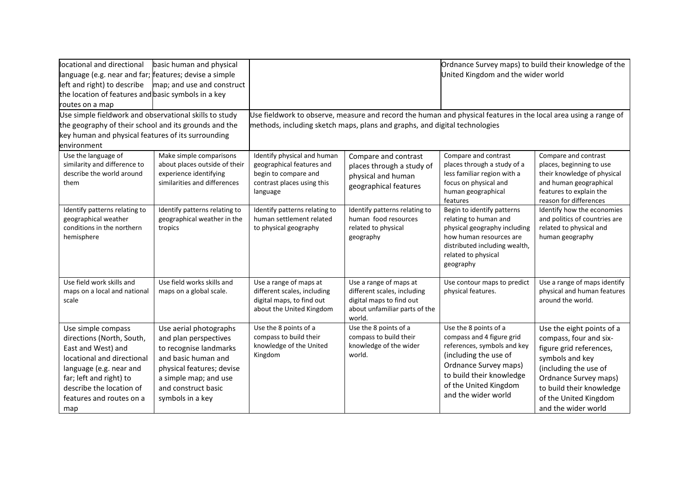| locational and directional                                                                                                                                                                                               | basic human and physical                                                                                                                                                                          |                                                                                                                            |                                                                                                                              | Ordnance Survey maps) to build their knowledge of the                                                                                                                                                           |                                                                                                                                                                                                                                 |  |
|--------------------------------------------------------------------------------------------------------------------------------------------------------------------------------------------------------------------------|---------------------------------------------------------------------------------------------------------------------------------------------------------------------------------------------------|----------------------------------------------------------------------------------------------------------------------------|------------------------------------------------------------------------------------------------------------------------------|-----------------------------------------------------------------------------------------------------------------------------------------------------------------------------------------------------------------|---------------------------------------------------------------------------------------------------------------------------------------------------------------------------------------------------------------------------------|--|
| language (e.g. near and far; features; devise a simple                                                                                                                                                                   |                                                                                                                                                                                                   |                                                                                                                            |                                                                                                                              | United Kingdom and the wider world                                                                                                                                                                              |                                                                                                                                                                                                                                 |  |
| left and right) to describe                                                                                                                                                                                              | map; and use and construct                                                                                                                                                                        |                                                                                                                            |                                                                                                                              |                                                                                                                                                                                                                 |                                                                                                                                                                                                                                 |  |
| the location of features and basic symbols in a key                                                                                                                                                                      |                                                                                                                                                                                                   |                                                                                                                            |                                                                                                                              |                                                                                                                                                                                                                 |                                                                                                                                                                                                                                 |  |
| routes on a map                                                                                                                                                                                                          |                                                                                                                                                                                                   |                                                                                                                            |                                                                                                                              |                                                                                                                                                                                                                 |                                                                                                                                                                                                                                 |  |
| Use simple fieldwork and observational skills to study                                                                                                                                                                   |                                                                                                                                                                                                   | Use fieldwork to observe, measure and record the human and physical features in the local area using a range of            |                                                                                                                              |                                                                                                                                                                                                                 |                                                                                                                                                                                                                                 |  |
| the geography of their school and its grounds and the                                                                                                                                                                    |                                                                                                                                                                                                   |                                                                                                                            | methods, including sketch maps, plans and graphs, and digital technologies                                                   |                                                                                                                                                                                                                 |                                                                                                                                                                                                                                 |  |
| key human and physical features of its surrounding                                                                                                                                                                       |                                                                                                                                                                                                   |                                                                                                                            |                                                                                                                              |                                                                                                                                                                                                                 |                                                                                                                                                                                                                                 |  |
| environment                                                                                                                                                                                                              |                                                                                                                                                                                                   |                                                                                                                            |                                                                                                                              |                                                                                                                                                                                                                 |                                                                                                                                                                                                                                 |  |
| Use the language of<br>similarity and difference to<br>describe the world around<br>them                                                                                                                                 | Make simple comparisons<br>about places outside of their<br>experience identifying<br>similarities and differences                                                                                | Identify physical and human<br>geographical features and<br>begin to compare and<br>contrast places using this<br>language | Compare and contrast<br>places through a study of<br>physical and human<br>geographical features                             | Compare and contrast<br>places through a study of a<br>less familiar region with a<br>focus on physical and<br>human geographical<br>features                                                                   | Compare and contrast<br>places, beginning to use<br>their knowledge of physical<br>and human geographical<br>features to explain the<br>reason for differences                                                                  |  |
| Identify patterns relating to<br>geographical weather<br>conditions in the northern<br>hemisphere                                                                                                                        | Identify patterns relating to<br>geographical weather in the<br>tropics                                                                                                                           | Identify patterns relating to<br>human settlement related<br>to physical geography                                         | Identify patterns relating to<br>human food resources<br>related to physical<br>geography                                    | Begin to identify patterns<br>relating to human and<br>physical geography including<br>how human resources are<br>distributed including wealth,<br>related to physical<br>geography                             | Identify how the economies<br>and politics of countries are<br>related to physical and<br>human geography                                                                                                                       |  |
| Use field work skills and<br>maps on a local and national<br>scale                                                                                                                                                       | Use field works skills and<br>maps on a global scale.                                                                                                                                             | Use a range of maps at<br>different scales, including<br>digital maps, to find out<br>about the United Kingdom             | Use a range of maps at<br>different scales, including<br>digital maps to find out<br>about unfamiliar parts of the<br>world. | Use contour maps to predict<br>physical features.                                                                                                                                                               | Use a range of maps identify<br>physical and human features<br>around the world.                                                                                                                                                |  |
| Use simple compass<br>directions (North, South,<br>East and West) and<br>locational and directional<br>language (e.g. near and<br>far; left and right) to<br>describe the location of<br>features and routes on a<br>map | Use aerial photographs<br>and plan perspectives<br>to recognise landmarks<br>and basic human and<br>physical features; devise<br>a simple map; and use<br>and construct basic<br>symbols in a key | Use the 8 points of a<br>compass to build their<br>knowledge of the United<br>Kingdom                                      | Use the 8 points of a<br>compass to build their<br>knowledge of the wider<br>world.                                          | Use the 8 points of a<br>compass and 4 figure grid<br>references, symbols and key<br>(including the use of<br>Ordnance Survey maps)<br>to build their knowledge<br>of the United Kingdom<br>and the wider world | Use the eight points of a<br>compass, four and six-<br>figure grid references,<br>symbols and key<br>(including the use of<br>Ordnance Survey maps)<br>to build their knowledge<br>of the United Kingdom<br>and the wider world |  |